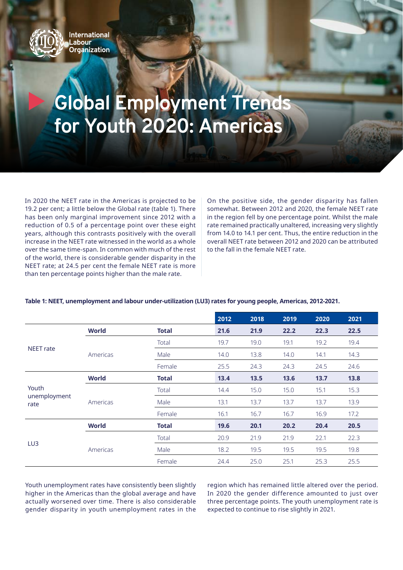

## **Global Employment Trends for Youth 2020: Americas**

In 2020 the NEET rate in the Americas is projected to be 19.2 per cent; a little below the Global rate (table 1). There has been only marginal improvement since 2012 with a reduction of 0.5 of a percentage point over these eight years, although this contrasts positively with the overall increase in the NEET rate witnessed in the world as a whole over the same time-span. In common with much of the rest of the world, there is considerable gender disparity in the NEET rate; at 24.5 per cent the female NEET rate is more than ten percentage points higher than the male rate.

On the positive side, the gender disparity has fallen somewhat. Between 2012 and 2020, the female NEET rate in the region fell by one percentage point. Whilst the male rate remained practically unaltered, increasing very slightly from 14.0 to 14.1 per cent. Thus, the entire reduction in the overall NEET rate between 2012 and 2020 can be attributed to the fall in the female NEET rate.

## **Table 1: NEET, unemployment and labour under-utilization (LU3) rates for young people, Americas, 2012-2021.**

|                               |              |              | 2012 | 2018 | 2019 | 2020 | 2021 |
|-------------------------------|--------------|--------------|------|------|------|------|------|
| <b>NEET</b> rate              | <b>World</b> | <b>Total</b> | 21.6 | 21.9 | 22.2 | 22.3 | 22.5 |
|                               | Americas     | Total        | 19.7 | 19.0 | 19.1 | 19.2 | 19.4 |
|                               |              | Male         | 14.0 | 13.8 | 14.0 | 14.1 | 14.3 |
|                               |              | Female       | 25.5 | 24.3 | 24.3 | 24.5 | 24.6 |
| Youth<br>unemployment<br>rate | <b>World</b> | <b>Total</b> | 13.4 | 13.5 | 13.6 | 13.7 | 13.8 |
|                               | Americas     | Total        | 14.4 | 15.0 | 15.0 | 15.1 | 15.3 |
|                               |              | Male         | 13.1 | 13.7 | 13.7 | 13.7 | 13.9 |
|                               |              | Female       | 16.1 | 16.7 | 16.7 | 16.9 | 17.2 |
| LU3                           | <b>World</b> | <b>Total</b> | 19.6 | 20.1 | 20.2 | 20.4 | 20.5 |
|                               | Americas     | Total        | 20.9 | 21.9 | 21.9 | 22.1 | 22.3 |
|                               |              | Male         | 18.2 | 19.5 | 19.5 | 19.5 | 19.8 |
|                               |              | Female       | 24.4 | 25.0 | 25.1 | 25.3 | 25.5 |

Youth unemployment rates have consistently been slightly higher in the Americas than the global average and have actually worsened over time. There is also considerable gender disparity in youth unemployment rates in the

region which has remained little altered over the period. In 2020 the gender difference amounted to just over three percentage points. The youth unemployment rate is expected to continue to rise slightly in 2021.